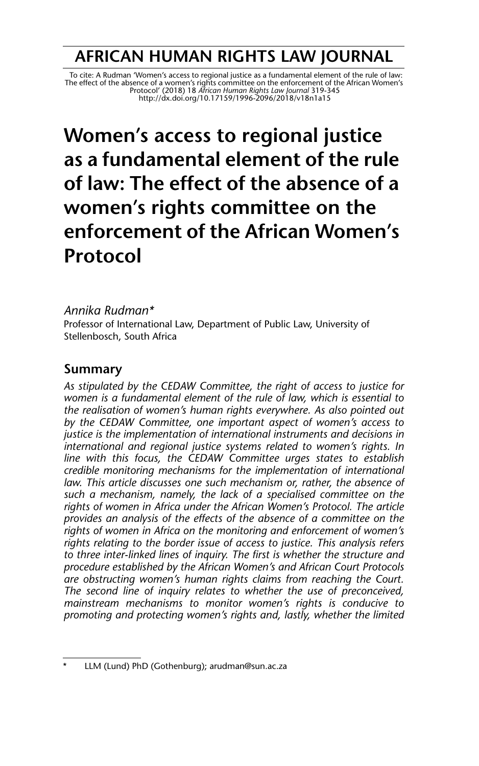## **AFRICAN HUMAN RIGHTS LAW JOURNAL**

 To cite: A Rudman 'Women's access to regional justice as a fundamental element of the rule of law: The effect of the absence of a women's rights committee on the enforcement of the African Women's<br>Protocol' (2018) 18 *African Human Rights Law Journal* 319-345<br>http://dx.doi.org/10.171*59/1996-2096/2018/v18n1a15* 

# **Women's access to regional justice as a fundamental element of the rule of law: The effect of the absence of a women's rights committee on the enforcement of the African Women's Protocol**

#### *Annika Rudman\**

Professor of International Law, Department of Public Law, University of Stellenbosch, South Africa

### **Summary**

*As stipulated by the CEDAW Committee, the right of access to justice for women is a fundamental element of the rule of law, which is essential to the realisation of women's human rights everywhere. As also pointed out by the CEDAW Committee, one important aspect of women's access to justice is the implementation of international instruments and decisions in international and regional justice systems related to women's rights. In line with this focus, the CEDAW Committee urges states to establish credible monitoring mechanisms for the implementation of international law. This article discusses one such mechanism or, rather, the absence of such a mechanism, namely, the lack of a specialised committee on the rights of women in Africa under the African Women's Protocol. The article provides an analysis of the effects of the absence of a committee on the rights of women in Africa on the monitoring and enforcement of women's rights relating to the border issue of access to justice. This analysis refers to three inter-linked lines of inquiry. The first is whether the structure and procedure established by the African Women's and African Court Protocols are obstructing women's human rights claims from reaching the Court. The second line of inquiry relates to whether the use of preconceived, mainstream mechanisms to monitor women's rights is conducive to promoting and protecting women's rights and, lastly, whether the limited*

LLM (Lund) PhD (Gothenburg); arudman@sun.ac.za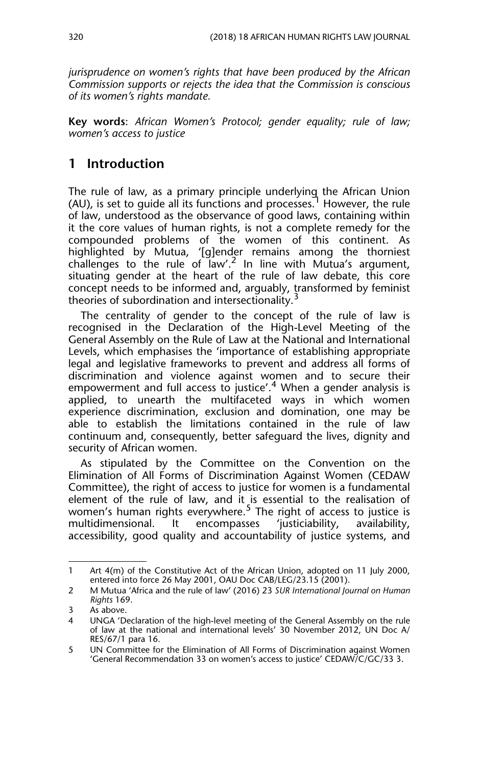*jurisprudence on women's rights that have been produced by the African Commission supports or rejects the idea that the Commission is conscious of its women's rights mandate.*

**Key words**: *African Women's Protocol; gender equality; rule of law; women's access to justice*

## **1 Introduction**

The rule of law, as a primary principle underlying the African Union (AU), is set to quide all its functions and processes.<sup>1</sup> However, the rule of law, understood as the observance of good laws, containing within it the core values of human rights, is not a complete remedy for the compounded problems of the women of this continent. As highlighted by Mutua, '[g]ender remains among the thorniest challenges to the rule of  $law'^2$  In line with Mutua's argument, situating gender at the heart of the rule of law debate, this core concept needs to be informed and, arguably, transformed by feminist theories of subordination and intersectionality.

The centrality of gender to the concept of the rule of law is recognised in the Declaration of the High-Level Meeting of the General Assembly on the Rule of Law at the National and International Levels, which emphasises the 'importance of establishing appropriate legal and legislative frameworks to prevent and address all forms of discrimination and violence against women and to secure their empowerment and full access to justice'.<sup>4</sup> When a gender analysis is applied, to unearth the multifaceted ways in which women experience discrimination, exclusion and domination, one may be able to establish the limitations contained in the rule of law continuum and, consequently, better safeguard the lives, dignity and security of African women.

As stipulated by the Committee on the Convention on the Elimination of All Forms of Discrimination Against Women (CEDAW Committee), the right of access to justice for women is a fundamental element of the rule of law, and it is essential to the realisation of women's human rights everywhere.<sup>5</sup> The right of access to justice is multidimensional. It encompasses 'justiciability, availability, accessibility, good quality and accountability of justice systems, and

<sup>1</sup> Art 4(m) of the Constitutive Act of the African Union, adopted on 11 July 2000, entered into force 26 May 2001, OAU Doc CAB/LEG/23.15 (2001).

<sup>2</sup> M Mutua 'Africa and the rule of law' (2016) 23 *SUR International Journal on Human Rights* 169.

<sup>3</sup> As above.

<sup>4</sup> UNGA 'Declaration of the high-level meeting of the General Assembly on the rule of law at the national and international levels' 30 November 2012, UN Doc A/ RES/67/1 para 16.

<sup>5</sup> UN Committee for the Elimination of All Forms of Discrimination against Women 'General Recommendation 33 on women's access to justice' CEDAW/C/GC/33 3.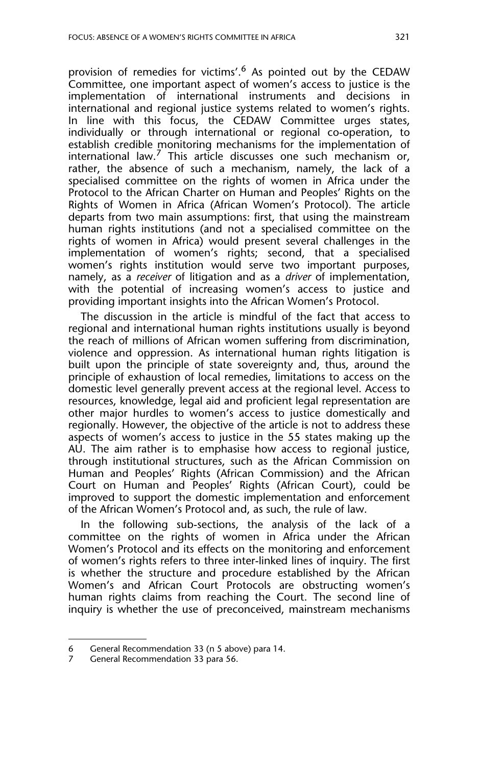provision of remedies for victims'.<sup>6</sup> As pointed out by the CEDAW Committee, one important aspect of women's access to justice is the implementation of international instruments and decisions in international and regional justice systems related to women's rights. In line with this focus, the CEDAW Committee urges states, individually or through international or regional co-operation, to establish credible monitoring mechanisms for the implementation of international law.<sup>7</sup> This article discusses one such mechanism or, rather, the absence of such a mechanism, namely, the lack of a specialised committee on the rights of women in Africa under the Protocol to the African Charter on Human and Peoples' Rights on the Rights of Women in Africa (African Women's Protocol). The article departs from two main assumptions: first, that using the mainstream human rights institutions (and not a specialised committee on the rights of women in Africa) would present several challenges in the implementation of women's rights; second, that a specialised women's rights institution would serve two important purposes, namely, as a *receiver* of litigation and as a *driver* of implementation, with the potential of increasing women's access to justice and providing important insights into the African Women's Protocol.

The discussion in the article is mindful of the fact that access to regional and international human rights institutions usually is beyond the reach of millions of African women suffering from discrimination, violence and oppression. As international human rights litigation is built upon the principle of state sovereignty and, thus, around the principle of exhaustion of local remedies, limitations to access on the domestic level generally prevent access at the regional level. Access to resources, knowledge, legal aid and proficient legal representation are other major hurdles to women's access to justice domestically and regionally. However, the objective of the article is not to address these aspects of women's access to justice in the 55 states making up the AU. The aim rather is to emphasise how access to regional justice, through institutional structures, such as the African Commission on Human and Peoples' Rights (African Commission) and the African Court on Human and Peoples' Rights (African Court), could be improved to support the domestic implementation and enforcement of the African Women's Protocol and, as such, the rule of law.

In the following sub-sections, the analysis of the lack of a committee on the rights of women in Africa under the African Women's Protocol and its effects on the monitoring and enforcement of women's rights refers to three inter-linked lines of inquiry. The first is whether the structure and procedure established by the African Women's and African Court Protocols are obstructing women's human rights claims from reaching the Court. The second line of inquiry is whether the use of preconceived, mainstream mechanisms

<sup>6</sup> General Recommendation 33 (n 5 above) para 14.

<sup>7</sup> General Recommendation 33 para 56.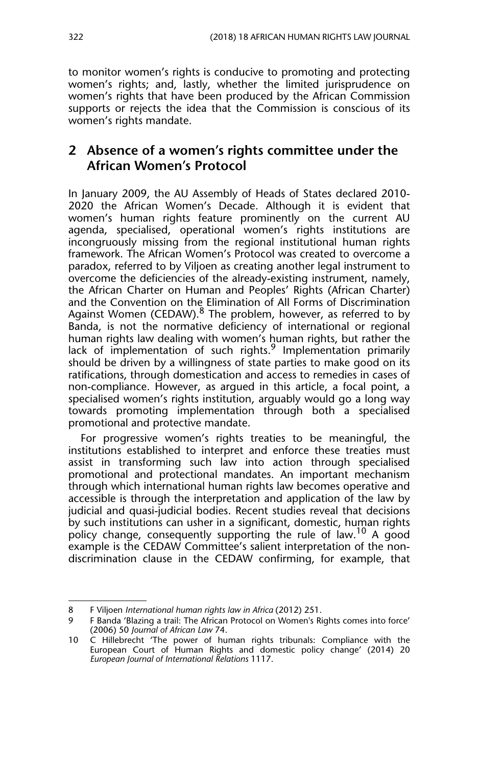to monitor women's rights is conducive to promoting and protecting women's rights; and, lastly, whether the limited jurisprudence on women's rights that have been produced by the African Commission supports or rejects the idea that the Commission is conscious of its women's rights mandate.

## **2 Absence of a women's rights committee under the African Women's Protocol**

In January 2009, the AU Assembly of Heads of States declared 2010- 2020 the African Women's Decade. Although it is evident that women's human rights feature prominently on the current AU agenda, specialised, operational women's rights institutions are incongruously missing from the regional institutional human rights framework. The African Women's Protocol was created to overcome a paradox, referred to by Viljoen as creating another legal instrument to overcome the deficiencies of the already-existing instrument, namely, the African Charter on Human and Peoples' Rights (African Charter) and the Convention on the Elimination of All Forms of Discrimination Against Women (CEDAW). $8$  The problem, however, as referred to by Banda, is not the normative deficiency of international or regional human rights law dealing with women's human rights, but rather the lack of implementation of such rights. $9$  Implementation primarily should be driven by a willingness of state parties to make good on its ratifications, through domestication and access to remedies in cases of non-compliance. However, as argued in this article, a focal point, a specialised women's rights institution, arguably would go a long way towards promoting implementation through both a specialised promotional and protective mandate.

For progressive women's rights treaties to be meaningful, the institutions established to interpret and enforce these treaties must assist in transforming such law into action through specialised promotional and protectional mandates. An important mechanism through which international human rights law becomes operative and accessible is through the interpretation and application of the law by judicial and quasi-judicial bodies. Recent studies reveal that decisions by such institutions can usher in a significant, domestic, human rights policy change, consequently supporting the rule of law.<sup>10</sup> A good example is the CEDAW Committee's salient interpretation of the nondiscrimination clause in the CEDAW confirming, for example, that

<sup>8</sup> F Viljoen *International human rights law in Africa* (2012) 251.

<sup>9</sup> F Banda 'Blazing a trail: The African Protocol on Women's Rights comes into force' (2006) 50 *Journal of African Law* 74.

<sup>10</sup> C Hillebrecht 'The power of human rights tribunals: Compliance with the European Court of Human Rights and domestic policy change' (2014) 20 *European Journal of International Relations* 1117.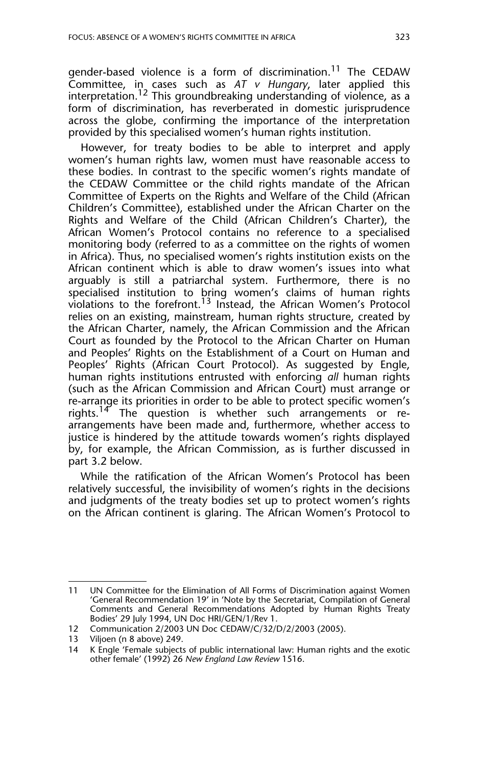gender-based violence is a form of discrimination.<sup>11</sup> The CEDAW Committee, in cases such as *AT v Hungary*, later applied this interpretation.<sup>12</sup> This groundbreaking understanding of violence, as a form of discrimination, has reverberated in domestic jurisprudence across the globe, confirming the importance of the interpretation provided by this specialised women's human rights institution.

However, for treaty bodies to be able to interpret and apply women's human rights law, women must have reasonable access to these bodies. In contrast to the specific women's rights mandate of the CEDAW Committee or the child rights mandate of the African Committee of Experts on the Rights and Welfare of the Child (African Children's Committee), established under the African Charter on the Rights and Welfare of the Child (African Children's Charter), the African Women's Protocol contains no reference to a specialised monitoring body (referred to as a committee on the rights of women in Africa). Thus, no specialised women's rights institution exists on the African continent which is able to draw women's issues into what arguably is still a patriarchal system. Furthermore, there is no specialised institution to bring women's claims of human rights violations to the forefront.<sup>13</sup> Instead, the African Women's Protocol relies on an existing, mainstream, human rights structure, created by the African Charter, namely, the African Commission and the African Court as founded by the Protocol to the African Charter on Human and Peoples' Rights on the Establishment of a Court on Human and Peoples' Rights (African Court Protocol). As suggested by Engle, human rights institutions entrusted with enforcing *all* human rights (such as the African Commission and African Court) must arrange or re-arrange its priorities in order to be able to protect specific women's rights.<sup>14</sup> The question is whether such arrangements or rearrangements have been made and, furthermore, whether access to justice is hindered by the attitude towards women's rights displayed by, for example, the African Commission, as is further discussed in part 3.2 below.

While the ratification of the African Women's Protocol has been relatively successful, the invisibility of women's rights in the decisions and judgments of the treaty bodies set up to protect women's rights on the African continent is glaring. The African Women's Protocol to

<sup>11</sup> UN Committee for the Elimination of All Forms of Discrimination against Women 'General Recommendation 19' in 'Note by the Secretariat, Compilation of General Comments and General Recommendations Adopted by Human Rights Treaty Bodies' 29 July 1994, UN Doc HRI/GEN/1/Rev 1.

<sup>12</sup> Communication 2/2003 UN Doc CEDAW/C/32/D/2/2003 (2005).

<sup>13</sup> Viljoen (n 8 above) 249.<br>14 K Engle 'Female subjects

K Engle 'Female subjects of public international law: Human rights and the exotic other female' (1992) 26 *New England Law Review* 1516.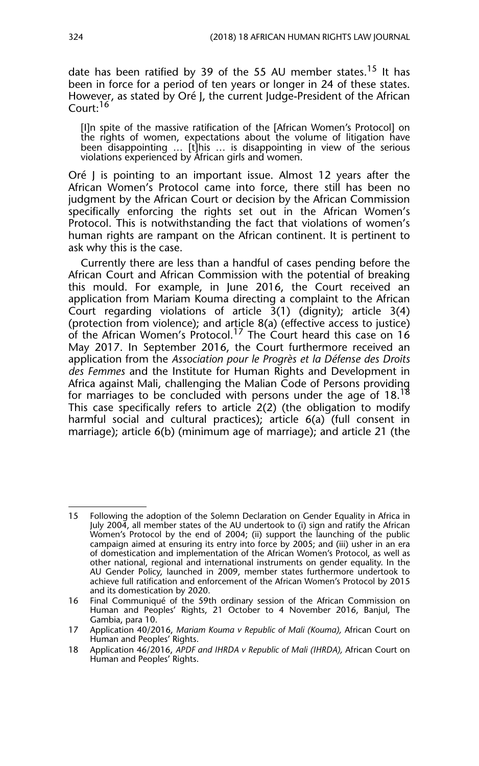date has been ratified by 39 of the 55 AU member states.<sup>15</sup> It has been in force for a period of ten years or longer in 24 of these states. However, as stated by Oré J, the current Judge-President of the African Court:<sup>16</sup>

[I]n spite of the massive ratification of the [African Women's Protocol] on the rights of women, expectations about the volume of litigation have been disappointing … [t]his … is disappointing in view of the serious violations experienced by African girls and women.

Oré J is pointing to an important issue. Almost 12 years after the African Women's Protocol came into force, there still has been no judgment by the African Court or decision by the African Commission specifically enforcing the rights set out in the African Women's Protocol. This is notwithstanding the fact that violations of women's human rights are rampant on the African continent. It is pertinent to ask why this is the case.

Currently there are less than a handful of cases pending before the African Court and African Commission with the potential of breaking this mould. For example, in June 2016, the Court received an application from Mariam Kouma directing a complaint to the African Court regarding violations of article  $3(1)$  (dignity); article  $3(4)$ (protection from violence); and article 8(a) (effective access to justice) of the African Women's Protocol.<sup>17</sup> The Court heard this case on  $16$ May 2017. In September 2016, the Court furthermore received an application from the *Association pour le Progrès et la Défense des Droits des Femmes* and the Institute for Human Rights and Development in Africa against Mali, challenging the Malian Code of Persons providing for marriages to be concluded with persons under the age of 18. $^{18}$ This case specifically refers to article 2(2) (the obligation to modify harmful social and cultural practices); article 6(a) (full consent in marriage); article 6(b) (minimum age of marriage); and article 21 (the

<sup>15</sup> Following the adoption of the Solemn Declaration on Gender Equality in Africa in July 2004, all member states of the AU undertook to (i) sign and ratify the African Women's Protocol by the end of 2004; (ii) support the launching of the public campaign aimed at ensuring its entry into force by 2005; and (iii) usher in an era of domestication and implementation of the African Women's Protocol, as well as other national, regional and international instruments on gender equality. In the AU Gender Policy, launched in 2009, member states furthermore undertook to achieve full ratification and enforcement of the African Women's Protocol by 2015 and its domestication by 2020.

<sup>16</sup> Final Communiqué of the 59th ordinary session of the African Commission on Human and Peoples' Rights, 21 October to 4 November 2016, Banjul, The Gambia, para 10.

<sup>17</sup> Application 40/2016, *Mariam Kouma v Republic of Mali (Kouma),* African Court on Human and Peoples' Rights.

<sup>18</sup> Application 46/2016, *APDF and IHRDA v Republic of Mali (IHRDA),* African Court on Human and Peoples' Rights.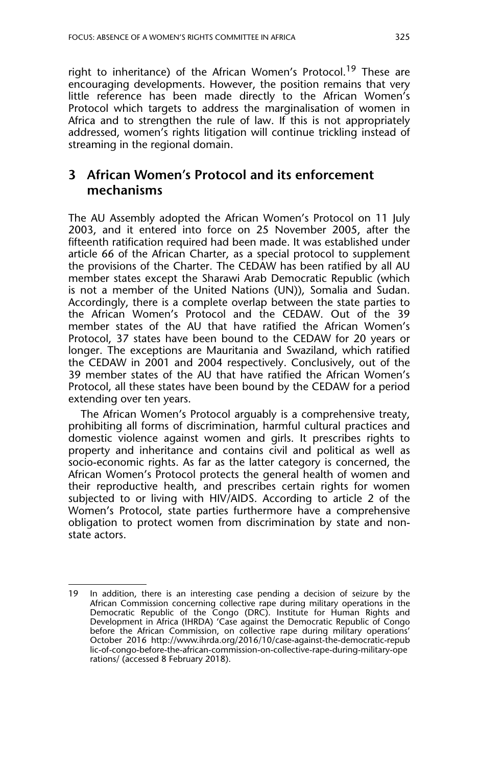right to inheritance) of the African Women's Protocol.<sup>19</sup> These are encouraging developments. However, the position remains that very little reference has been made directly to the African Women's Protocol which targets to address the marginalisation of women in Africa and to strengthen the rule of law. If this is not appropriately addressed, women's rights litigation will continue trickling instead of streaming in the regional domain.

## **3 African Women's Protocol and its enforcement mechanisms**

The AU Assembly adopted the African Women's Protocol on 11 July 2003, and it entered into force on 25 November 2005, after the fifteenth ratification required had been made. It was established under article 66 of the African Charter, as a special protocol to supplement the provisions of the Charter. The CEDAW has been ratified by all AU member states except the Sharawi Arab Democratic Republic (which is not a member of the United Nations (UN)), Somalia and Sudan. Accordingly, there is a complete overlap between the state parties to the African Women's Protocol and the CEDAW. Out of the 39 member states of the AU that have ratified the African Women's Protocol, 37 states have been bound to the CEDAW for 20 years or longer. The exceptions are Mauritania and Swaziland, which ratified the CEDAW in 2001 and 2004 respectively. Conclusively, out of the 39 member states of the AU that have ratified the African Women's Protocol, all these states have been bound by the CEDAW for a period extending over ten years.

The African Women's Protocol arguably is a comprehensive treaty, prohibiting all forms of discrimination, harmful cultural practices and domestic violence against women and girls. It prescribes rights to property and inheritance and contains civil and political as well as socio-economic rights. As far as the latter category is concerned, the African Women's Protocol protects the general health of women and their reproductive health, and prescribes certain rights for women subjected to or living with HIV/AIDS. According to article 2 of the Women's Protocol, state parties furthermore have a comprehensive obligation to protect women from discrimination by state and nonstate actors.

<sup>19</sup> In addition, there is an interesting case pending a decision of seizure by the African Commission concerning collective rape during military operations in the Democratic Republic of the Congo (DRC). Institute for Human Rights and Development in Africa (IHRDA) 'Case against the Democratic Republic of Congo before the African Commission, on collective rape during military operations' October 2016 http://www.ihrda.org/2016/10/case-against-the-democratic-repub lic-of-congo-before-the-african-commission-on-collective-rape-during-military-ope rations/ (accessed 8 February 2018).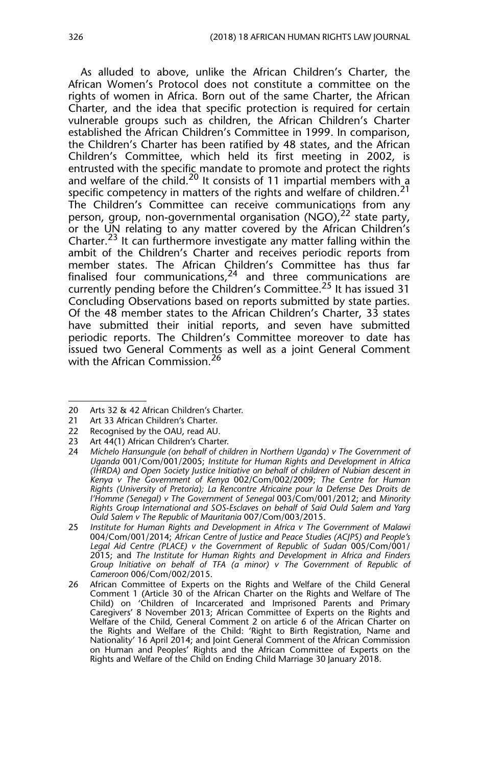As alluded to above, unlike the African Children's Charter, the African Women's Protocol does not constitute a committee on the rights of women in Africa. Born out of the same Charter, the African Charter, and the idea that specific protection is required for certain vulnerable groups such as children, the African Children's Charter established the African Children's Committee in 1999. In comparison, the Children's Charter has been ratified by 48 states, and the African Children's Committee, which held its first meeting in 2002, is entrusted with the specific mandate to promote and protect the rights and welfare of the child.<sup>20</sup> It consists of 11 impartial members with a specific competency in matters of the rights and welfare of children.<sup>21</sup> The Children's Committee can receive communications from any person, group, non-governmental organisation  $(NGO)$ ,  $^{22}$  state party, or the UN relating to any matter covered by the African Children's Charter.<sup>23</sup> It can furthermore investigate any matter falling within the ambit of the Children's Charter and receives periodic reports from member states. The African Children's Committee has thus far finalised four communications,  $24$  and three communications are currently pending before the Children's Committee.<sup>25</sup> It has issued 31 Concluding Observations based on reports submitted by state parties. Of the 48 member states to the African Children's Charter, 33 states have submitted their initial reports, and seven have submitted periodic reports. The Children's Committee moreover to date has issued two General Comments as well as a joint General Comment with the African Commission.<sup>26</sup>

<sup>20</sup> Arts 32 & 42 African Children's Charter.

<sup>21</sup> Art 33 African Children's Charter.

<sup>22</sup> Recognised by the OAU, read AU.

<sup>23</sup> Art 44(1) African Children's Charter.

<sup>24</sup> *Michelo Hansungule (on behalf of children in Northern Uganda) v The Government of Uganda* 001/Com/001/2005; *Institute for Human Rights and Development in Africa (IHRDA) and Open Society Justice Initiative on behalf of children of Nubian descent in Kenya v The Government of Kenya* 002/Com/002/2009; *The Centre for Human Rights (University of Pretoria); La Rencontre Africaine pour la Defense Des Droits de l'Homme (Senegal) v The Government of Senegal* 003/Com/001/2012; and *Minority Rights Group International and SOS-Esclaves on behalf of Said Ould Salem and Yarg Ould Salem v The Republic of Mauritania* 007/Com/003/2015.

<sup>25</sup> *Institute for Human Rights and Development in Africa v The Government of Malawi* 004/Com/001/2014; *African Centre of Justice and Peace Studies (ACJPS) and People's Legal Aid Centre (PLACE) v the Government of Republic of Sudan* 005/Com/001/ 2015; and *The Institute for Human Rights and Development in Africa and Finders Group Initiative on behalf of TFA (a minor) v The Government of Republic of Cameroon* 006/Com/002/2015.

<sup>26</sup> African Committee of Experts on the Rights and Welfare of the Child General Comment 1 (Article 30 of the African Charter on the Rights and Welfare of The Child) on 'Children of Incarcerated and Imprisoned Parents and Primary Caregivers' 8 November 2013; African Committee of Experts on the Rights and Welfare of the Child, General Comment 2 on article 6 of the African Charter on the Rights and Welfare of the Child: 'Right to Birth Registration, Name and Nationality' 16 April 2014; and Joint General Comment of the African Commission on Human and Peoples' Rights and the African Committee of Experts on the Rights and Welfare of the Child on Ending Child Marriage 30 January 2018.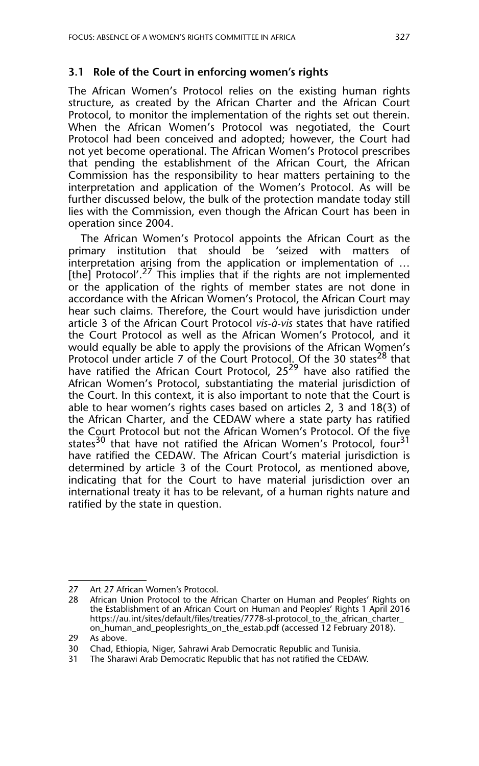#### **3.1 Role of the Court in enforcing women's rights**

The African Women's Protocol relies on the existing human rights structure, as created by the African Charter and the African Court Protocol, to monitor the implementation of the rights set out therein. When the African Women's Protocol was negotiated, the Court Protocol had been conceived and adopted; however, the Court had not yet become operational. The African Women's Protocol prescribes that pending the establishment of the African Court, the African Commission has the responsibility to hear matters pertaining to the interpretation and application of the Women's Protocol. As will be further discussed below, the bulk of the protection mandate today still lies with the Commission, even though the African Court has been in operation since 2004.

The African Women's Protocol appoints the African Court as the primary institution that should be 'seized with matters of interpretation arising from the application or implementation of … [the] Protocol'.<sup>27</sup> This implies that if the rights are not implemented or the application of the rights of member states are not done in accordance with the African Women's Protocol, the African Court may hear such claims. Therefore, the Court would have jurisdiction under article 3 of the African Court Protocol *vis-à-vis* states that have ratified the Court Protocol as well as the African Women's Protocol, and it would equally be able to apply the provisions of the African Women's Protocol under article 7 of the Court Protocol. Of the 30 states<sup>28</sup> that have ratified the African Court Protocol, 25<sup>29</sup> have also ratified the African Women's Protocol, substantiating the material jurisdiction of the Court. In this context, it is also important to note that the Court is able to hear women's rights cases based on articles 2, 3 and 18(3) of the African Charter, and the CEDAW where a state party has ratified the Court Protocol but not the African Women's Protocol. Of the five states<sup>30</sup> that have not ratified the African Women's Protocol, four<sup>31</sup> have ratified the CEDAW. The African Court's material jurisdiction is determined by article 3 of the Court Protocol, as mentioned above, indicating that for the Court to have material jurisdiction over an international treaty it has to be relevant, of a human rights nature and ratified by the state in question.

<sup>27</sup> Art 27 African Women's Protocol.

<sup>28</sup> African Union Protocol to the African Charter on Human and Peoples' Rights on the Establishment of an African Court on Human and Peoples' Rights 1 April 2016 https://au.int/sites/default/files/treaties/7778-sl-protocol\_to\_the\_african\_charter\_ on\_human\_and\_peoplesrights\_on\_the\_estab.pdf (accessed 12 February 2018). 29 As above.

<sup>30</sup> Chad, Ethiopia, Niger, Sahrawi Arab Democratic Republic and Tunisia.

<sup>31</sup> The Sharawi Arab Democratic Republic that has not ratified the CEDAW.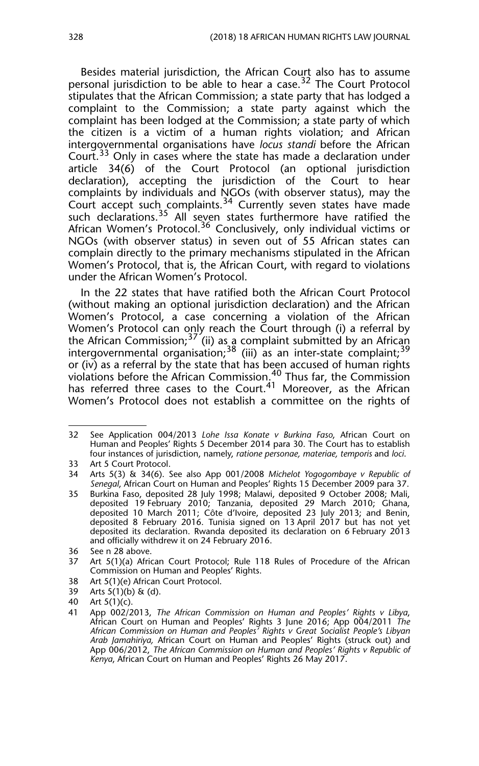Besides material jurisdiction, the African Court also has to assume personal jurisdiction to be able to hear a case.<sup>32</sup> The Court Protocol stipulates that the African Commission; a state party that has lodged a complaint to the Commission; a state party against which the complaint has been lodged at the Commission; a state party of which the citizen is a victim of a human rights violation; and African intergovernmental organisations have *locus standi* before the African Court.<sup>33</sup> Only in cases where the state has made a declaration under article 34(6) of the Court Protocol (an optional jurisdiction declaration), accepting the jurisdiction of the Court to hear complaints by individuals and NGOs (with observer status), may the Court accept such complaints.<sup>34</sup> Currently seven states have made such declarations.<sup>35</sup> All seven states furthermore have ratified the African Women's Protocol.<sup>36</sup> Conclusively, only individual victims or NGOs (with observer status) in seven out of 55 African states can complain directly to the primary mechanisms stipulated in the African Women's Protocol, that is, the African Court, with regard to violations under the African Women's Protocol.

In the 22 states that have ratified both the African Court Protocol (without making an optional jurisdiction declaration) and the African Women's Protocol, a case concerning a violation of the African Women's Protocol can only reach the Court through (i) a referral by the African Commission;<sup>37</sup> (ii) as a complaint submitted by an African intergovernmental organisation;<sup>38</sup> (iii) as an inter-state complaint;<sup>39</sup> or (iv) as a referral by the state that has been accused of human rights violations before the African Commission.40 Thus far, the Commission has referred three cases to the Court.<sup>41</sup> Moreover, as the African Women's Protocol does not establish a committee on the rights of

- 38 Art 5(1)(e) African Court Protocol.
- 39 Arts 5(1)(b) & (d).
- 40 Art 5(1)(c).

<sup>32</sup> See Application 004/2013 *Lohe Issa Konate v Burkina Faso*, African Court on Human and Peoples' Rights 5 December 2014 para 30. The Court has to establish four instances of jurisdiction, namely, *ratione personae, materiae, temporis* and *loci*.

<sup>33</sup> Art 5 Court Protocol.

<sup>34</sup> Arts 5(3) & 34(6). See also App 001/2008 *Michelot Yogogombaye v Republic of Senegal*, African Court on Human and Peoples' Rights 15 December 2009 para 37.

<sup>35</sup> Burkina Faso, deposited 28 July 1998; Malawi, deposited 9 October 2008; Mali, deposited 19 February 2010; Tanzania, deposited 29 March 2010; Ghana, deposited 10 March 2011; Côte d'Ivoire, deposited 23 July 2013; and Benin, deposited 8 February 2016. Tunisia signed on 13 April 2017 but has not yet deposited its declaration. Rwanda deposited its declaration on 6 February 2013 and officially withdrew it on 24 February 2016.

<sup>36</sup> See n 28 above.

<sup>37</sup> Art 5(1)(a) African Court Protocol; Rule 118 Rules of Procedure of the African Commission on Human and Peoples' Rights.

<sup>41</sup> App 002/2013, *The African Commission on Human and Peoples' Rights v Libya*, African Court on Human and Peoples' Rights 3 June 2016; App 004/2011 *The African Commission on Human and Peoples' Rights v Great Socialist People's Libyan Arab Jamahiriya,* African Court on Human and Peoples' Rights (struck out) and App 006/2012, *The African Commission on Human and Peoples' Rights v Republic of Kenya*, African Court on Human and Peoples' Rights 26 May 2017.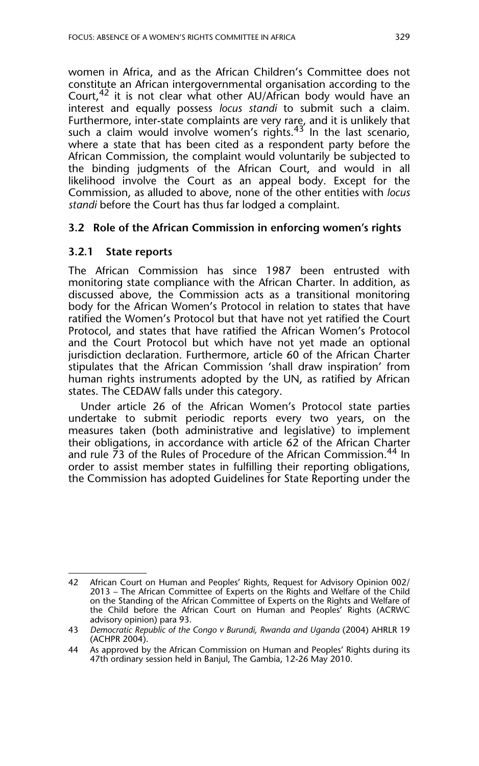women in Africa, and as the African Children's Committee does not constitute an African intergovernmental organisation according to the Court, $42$  it is not clear what other AU/African body would have an interest and equally possess *locus standi* to submit such a claim. Furthermore, inter-state complaints are very rare, and it is unlikely that such a claim would involve women's rights. $43$  In the last scenario, where a state that has been cited as a respondent party before the African Commission, the complaint would voluntarily be subjected to the binding judgments of the African Court, and would in all likelihood involve the Court as an appeal body. Except for the Commission, as alluded to above, none of the other entities with *locus standi* before the Court has thus far lodged a complaint.

#### **3.2 Role of the African Commission in enforcing women's rights**

#### **3.2.1 State reports**

The African Commission has since 1987 been entrusted with monitoring state compliance with the African Charter. In addition, as discussed above, the Commission acts as a transitional monitoring body for the African Women's Protocol in relation to states that have ratified the Women's Protocol but that have not yet ratified the Court Protocol, and states that have ratified the African Women's Protocol and the Court Protocol but which have not yet made an optional jurisdiction declaration. Furthermore, article 60 of the African Charter stipulates that the African Commission 'shall draw inspiration' from human rights instruments adopted by the UN, as ratified by African states. The CEDAW falls under this category.

Under article 26 of the African Women's Protocol state parties undertake to submit periodic reports every two years, on the measures taken (both administrative and legislative) to implement their obligations, in accordance with article 62 of the African Charter and rule 73 of the Rules of Procedure of the African Commission.<sup>44</sup> In order to assist member states in fulfilling their reporting obligations, the Commission has adopted Guidelines for State Reporting under the

<sup>42</sup> African Court on Human and Peoples' Rights, Request for Advisory Opinion 002/ 2013 – The African Committee of Experts on the Rights and Welfare of the Child on the Standing of the African Committee of Experts on the Rights and Welfare of the Child before the African Court on Human and Peoples' Rights (ACRWC advisory opinion) para 93.

<sup>43</sup> *Democratic Republic of the Congo v Burundi, Rwanda and Uganda* (2004) AHRLR 19 (ACHPR 2004).

<sup>44</sup> As approved by the African Commission on Human and Peoples' Rights during its 47th ordinary session held in Banjul, The Gambia, 12-26 May 2010.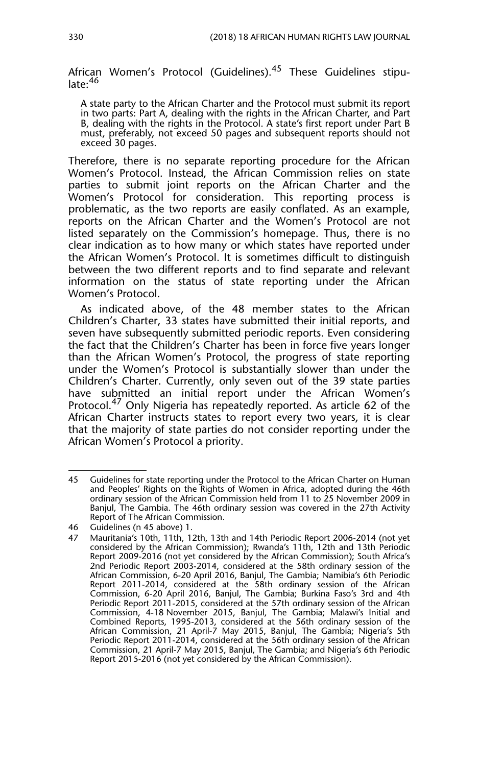African Women's Protocol (Guidelines).<sup>45</sup> These Guidelines stipulate:<sup>46</sup>

A state party to the African Charter and the Protocol must submit its report in two parts: Part A, dealing with the rights in the African Charter, and Part B, dealing with the rights in the Protocol. A state's first report under Part B must, preferably, not exceed 50 pages and subsequent reports should not exceed 30 pages.

Therefore, there is no separate reporting procedure for the African Women's Protocol. Instead, the African Commission relies on state parties to submit joint reports on the African Charter and the Women's Protocol for consideration. This reporting process is problematic, as the two reports are easily conflated. As an example, reports on the African Charter and the Women's Protocol are not listed separately on the Commission's homepage. Thus, there is no clear indication as to how many or which states have reported under the African Women's Protocol. It is sometimes difficult to distinguish between the two different reports and to find separate and relevant information on the status of state reporting under the African Women's Protocol.

As indicated above, of the 48 member states to the African Children's Charter, 33 states have submitted their initial reports, and seven have subsequently submitted periodic reports. Even considering the fact that the Children's Charter has been in force five years longer than the African Women's Protocol, the progress of state reporting under the Women's Protocol is substantially slower than under the Children's Charter. Currently, only seven out of the 39 state parties have submitted an initial report under the African Women's Protocol.<sup>47</sup> Only Nigeria has repeatedly reported. As article 62 of the African Charter instructs states to report every two years, it is clear that the majority of state parties do not consider reporting under the African Women's Protocol a priority.

<sup>45</sup> Guidelines for state reporting under the Protocol to the African Charter on Human and Peoples' Rights on the Rights of Women in Africa, adopted during the 46th ordinary session of the African Commission held from 11 to 25 November 2009 in Banjul, The Gambia. The 46th ordinary session was covered in the 27th Activity Report of The African Commission.

<sup>46</sup> Guidelines (n 45 above) 1.

<sup>47</sup> Mauritania's 10th, 11th, 12th, 13th and 14th Periodic Report 2006-2014 (not yet considered by the African Commission); Rwanda's 11th, 12th and 13th Periodic Report 2009-2016 (not yet considered by the African Commission); South Africa's 2nd Periodic Report 2003-2014, considered at the 58th ordinary session of the African Commission, 6-20 April 2016, Banjul, The Gambia; Namibia's 6th Periodic Report 2011-2014, considered at the 58th ordinary session of the African Commission, 6-20 April 2016, Banjul, The Gambia; Burkina Faso's 3rd and 4th Periodic Report 2011-2015, considered at the 57th ordinary session of the African Commission, 4-18 November 2015, Banjul, The Gambia; Malawi's Initial and Combined Reports, 1995-2013, considered at the 56th ordinary session of the African Commission, 21 April-7 May 2015, Banjul, The Gambia; Nigeria's 5th Periodic Report 2011-2014, considered at the 56th ordinary session of the African Commission, 21 April-7 May 2015, Banjul, The Gambia; and Nigeria's 6th Periodic Report 2015-2016 (not yet considered by the African Commission).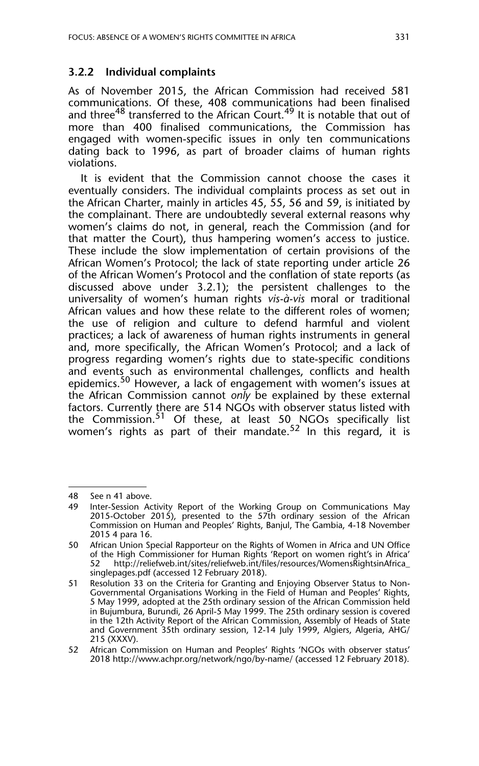#### **3.2.2 Individual complaints**

As of November 2015, the African Commission had received 581 communications. Of these, 408 communications had been finalised and three<sup>48</sup> transferred to the African Court.<sup>49</sup> It is notable that out of more than 400 finalised communications, the Commission has engaged with women-specific issues in only ten communications dating back to 1996, as part of broader claims of human rights violations.

It is evident that the Commission cannot choose the cases it eventually considers. The individual complaints process as set out in the African Charter, mainly in articles 45, 55, 56 and 59, is initiated by the complainant. There are undoubtedly several external reasons why women's claims do not, in general, reach the Commission (and for that matter the Court), thus hampering women's access to justice. These include the slow implementation of certain provisions of the African Women's Protocol; the lack of state reporting under article 26 of the African Women's Protocol and the conflation of state reports (as discussed above under 3.2.1); the persistent challenges to the universality of women's human rights *vis-à-vis* moral or traditional African values and how these relate to the different roles of women; the use of religion and culture to defend harmful and violent practices; a lack of awareness of human rights instruments in general and, more specifically, the African Women's Protocol; and a lack of progress regarding women's rights due to state-specific conditions and events such as environmental challenges, conflicts and health epidemics.<sup>50</sup> However, a lack of engagement with women's issues at the African Commission cannot *only* be explained by these external factors. Currently there are 514 NGOs with observer status listed with the Commission.<sup>51</sup> Of these, at least 50 NGOs specifically list women's rights as part of their mandate.<sup>52</sup> In this regard, it is

<sup>48</sup> See n 41 above.<br>49 Inter-Session Ac

Inter-Session Activity Report of the Working Group on Communications May 2015-October 2015), presented to the 57th ordinary session of the African Commission on Human and Peoples' Rights, Banjul, The Gambia, 4-18 November 2015 4 para 16.

<sup>50</sup> African Union Special Rapporteur on the Rights of Women in Africa and UN Office of the High Commissioner for Human Rights 'Report on women right's in Africa' 52 http://reliefweb.int/sites/reliefweb.int/files/resources/WomensRightsinAfrica\_ singlepages.pdf (accessed 12 February 2018).

<sup>51</sup> Resolution 33 on the Criteria for Granting and Enjoying Observer Status to Non-Governmental Organisations Working in the Field of Human and Peoples' Rights, 5 May 1999, adopted at the 25th ordinary session of the African Commission held in Bujumbura, Burundi, 26 April-5 May 1999. The 25th ordinary session is covered in the 12th Activity Report of the African Commission, Assembly of Heads of State and Government 35th ordinary session, 12-14 July 1999, Algiers, Algeria, AHG/ 215 (XXXV).

<sup>52</sup> African Commission on Human and Peoples' Rights 'NGOs with observer status' 2018 http://www.achpr.org/network/ngo/by-name/ (accessed 12 February 2018).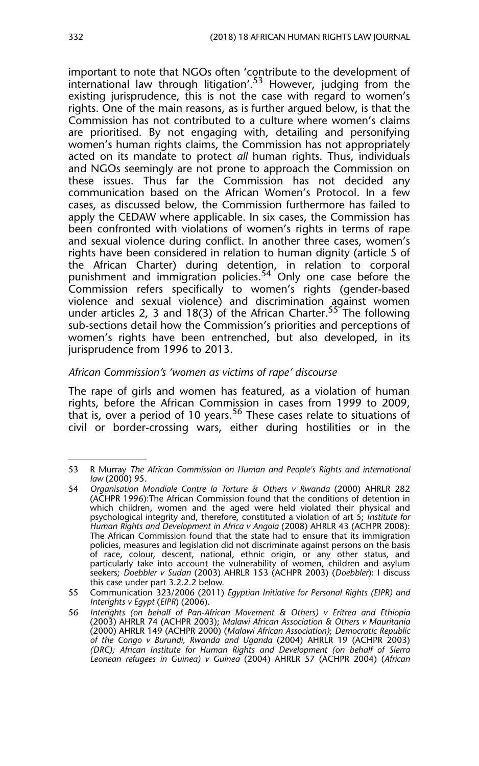important to note that NGOs often 'contribute to the development of international law through litigation'.<sup>53</sup> However, judging from the existing jurisprudence, this is not the case with regard to women's rights. One of the main reasons, as is further argued below, is that the Commission has not contributed to a culture where women's claims are prioritised. By not engaging with, detailing and personifying women's human rights claims, the Commission has not appropriately acted on its mandate to protect *all* human rights. Thus, individuals and NGOs seemingly are not prone to approach the Commission on these issues. Thus far the Commission has not decided any communication based on the African Women's Protocol. In a few cases, as discussed below, the Commission furthermore has failed to apply the CEDAW where applicable. In six cases, the Commission has been confronted with violations of women's rights in terms of rape and sexual violence during conflict. In another three cases, women's rights have been considered in relation to human dignity (article 5 of the African Charter) during detention, in relation to corporal punishment and immigration policies.<sup>54</sup> Only one case before the Commission refers specifically to women's rights (gender-based violence and sexual violence) and discrimination against women under articles 2, 3 and 18(3) of the African Charter.<sup>55</sup> The following sub-sections detail how the Commission's priorities and perceptions of women's rights have been entrenched, but also developed, in its jurisprudence from 1996 to 2013.

#### *African Commission's 'women as victims of rape' discourse*

The rape of girls and women has featured, as a violation of human rights, before the African Commission in cases from 1999 to 2009, that is, over a period of 10 years.<sup>56</sup> These cases relate to situations of civil or border-crossing wars, either during hostilities or in the

<sup>53</sup> R Murray *The African Commission on Human and People's Rights and international law* (2000) 95.

<sup>54</sup> *Organisation Mondiale Contre la Torture & Others v Rwanda* (2000) AHRLR 282 (ACHPR 1996):The African Commission found that the conditions of detention in which children, women and the aged were held violated their physical and psychological integrity and, therefore, constituted a violation of art 5; *Institute for Human Rights and Development in Africa v Angola* (2008) AHRLR 43 (ACHPR 2008): The African Commission found that the state had to ensure that its immigration policies, measures and legislation did not discriminate against persons on the basis of race, colour, descent, national, ethnic origin, or any other status, and particularly take into account the vulnerability of women, children and asylum seekers; *Doebbler v Sudan* (2003) AHRLR 153 (ACHPR 2003) (*Doebbler*): I discuss this case under part 3.2.2.2 below.

<sup>55</sup> Communication 323/2006 (2011) *Egyptian Initiative for Personal Rights (EIPR) and Interights v Egypt* (*EIPR*) (2006).

<sup>56</sup> *Interights (on behalf of Pan-African Movement & Others) v Eritrea and Ethiopia* (2003) AHRLR 74 (ACHPR 2003); *Malawi African Association & Others v Mauritania* (2000) AHRLR 149 (ACHPR 2000) (*Malawi African Association)*; *Democratic Republic of the Congo v Burundi, Rwanda and Uganda* (2004) AHRLR 19 (ACHPR 2003) *(DRC); African Institute for Human Rights and Development (on behalf of Sierra Leonean refugees in Guinea) v Guinea* (2004) AHRLR 57 (ACHPR 2004) (*African*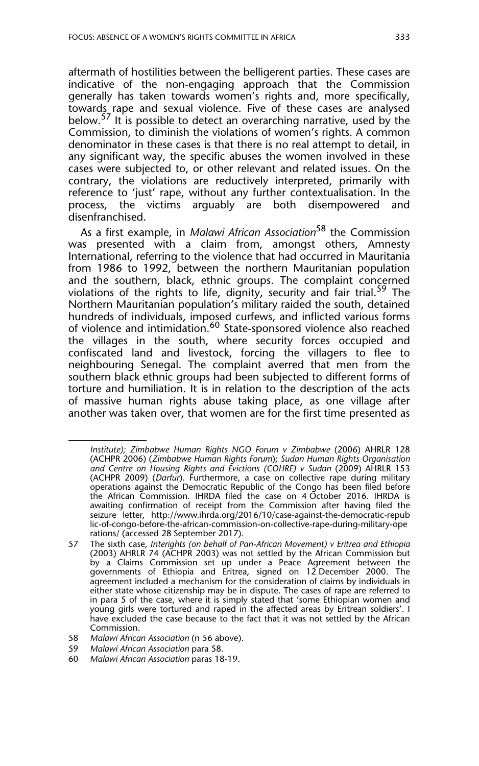aftermath of hostilities between the belligerent parties. These cases are indicative of the non-engaging approach that the Commission generally has taken towards women's rights and, more specifically, towards rape and sexual violence. Five of these cases are analysed below.<sup>57</sup> It is possible to detect an overarching narrative, used by the Commission, to diminish the violations of women's rights. A common denominator in these cases is that there is no real attempt to detail, in any significant way, the specific abuses the women involved in these cases were subjected to, or other relevant and related issues. On the contrary, the violations are reductively interpreted, primarily with reference to 'just' rape, without any further contextualisation. In the process, the victims arguably are both disempowered and disenfranchised.

As a first example, in *Malawi African Association*58 the Commission was presented with a claim from, amongst others, Amnesty International, referring to the violence that had occurred in Mauritania from 1986 to 1992, between the northern Mauritanian population and the southern, black, ethnic groups. The complaint concerned violations of the rights to life, dignity, security and fair trial.<sup>59</sup> The Northern Mauritanian population's military raided the south, detained hundreds of individuals, imposed curfews, and inflicted various forms of violence and intimidation.<sup>60</sup> State-sponsored violence also reached the villages in the south, where security forces occupied and confiscated land and livestock, forcing the villagers to flee to neighbouring Senegal. The complaint averred that men from the southern black ethnic groups had been subjected to different forms of torture and humiliation. It is in relation to the description of the acts of massive human rights abuse taking place, as one village after another was taken over, that women are for the first time presented as

<sup>57</sup> *Institute); Zimbabwe Human Rights NGO Forum v Zimbabwe* (2006) AHRLR 128 (ACHPR 2006) (*Zimbabwe Human Rights Forum*); *Sudan Human Rights Organisation and Centre on Housing Rights and Evictions (COHRE) v Sudan* (2009) AHRLR 153 (ACHPR 2009) (*Darfur*). Furthermore, a case on collective rape during military operations against the Democratic Republic of the Congo has been filed before the African Commission. IHRDA filed the case on 4 October 2016. IHRDA is awaiting confirmation of receipt from the Commission after having filed the seizure letter, http://www.ihrda.org/2016/10/case-against-the-democratic-repub lic-of-congo-before-the-african-commission-on-collective-rape-during-military-ope rations/ (accessed 28 September 2017).

<sup>57</sup> The sixth case, *Interights (on behalf of Pan-African Movement) v Eritrea and Ethiopia* (2003) AHRLR 74 (ACHPR 2003) was not settled by the African Commission but by a Claims Commission set up under a Peace Agreement between the governments of Ethiopia and Eritrea, signed on 12 December 2000. The agreement included a mechanism for the consideration of claims by individuals in either state whose citizenship may be in dispute. The cases of rape are referred to in para 5 of the case, where it is simply stated that 'some Ethiopian women and young girls were tortured and raped in the affected areas by Eritrean soldiers'. I have excluded the case because to the fact that it was not settled by the African Commission.

<sup>58</sup> *Malawi African Association* (n 56 above).

<sup>59</sup> *Malawi African Association* para 58*.*

<sup>60</sup> *Malawi African Association* paras 18-19.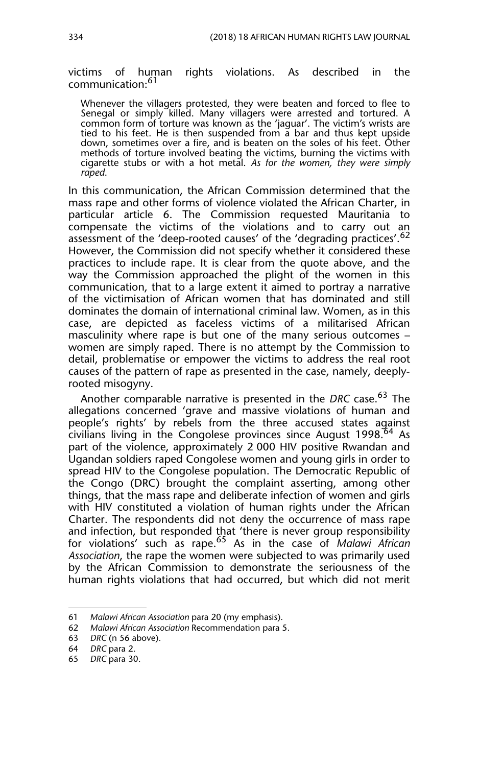victims of human rights violations. As described in the communication:<sup>61</sup>

Whenever the villagers protested, they were beaten and forced to flee to Senegal or simply killed. Many villagers were arrested and tortured. A common form of torture was known as the 'jaguar'. The victim's wrists are tied to his feet. He is then suspended from a bar and thus kept upside down, sometimes over a fire, and is beaten on the soles of his feet. Other methods of torture involved beating the victims, burning the victims with cigarette stubs or with a hot metal. *As for the women, they were simply raped*.

In this communication, the African Commission determined that the mass rape and other forms of violence violated the African Charter, in particular article 6. The Commission requested Mauritania to compensate the victims of the violations and to carry out an assessment of the 'deep-rooted causes' of the 'degrading practices'.<sup>62</sup> However, the Commission did not specify whether it considered these practices to include rape. It is clear from the quote above, and the way the Commission approached the plight of the women in this communication, that to a large extent it aimed to portray a narrative of the victimisation of African women that has dominated and still dominates the domain of international criminal law. Women, as in this case, are depicted as faceless victims of a militarised African masculinity where rape is but one of the many serious outcomes – women are simply raped. There is no attempt by the Commission to detail, problematise or empower the victims to address the real root causes of the pattern of rape as presented in the case, namely, deeplyrooted misogyny.

Another comparable narrative is presented in the *DRC* case.63 The allegations concerned 'grave and massive violations of human and people's rights' by rebels from the three accused states against civilians living in the Congolese provinces since August 1998. $64$  As part of the violence, approximately 2 000 HIV positive Rwandan and Ugandan soldiers raped Congolese women and young girls in order to spread HIV to the Congolese population. The Democratic Republic of the Congo (DRC) brought the complaint asserting, among other things, that the mass rape and deliberate infection of women and girls with HIV constituted a violation of human rights under the African Charter. The respondents did not deny the occurrence of mass rape and infection, but responded that 'there is never group responsibility for violations' such as rape.65 As in the case of *Malawi African Association*, the rape the women were subjected to was primarily used by the African Commission to demonstrate the seriousness of the human rights violations that had occurred, but which did not merit

<sup>61</sup> *Malawi African Association* para 20 (my emphasis).

<sup>62</sup> *Malawi African Association* Recommendation para 5.

<sup>63</sup> *DRC* (n 56 above).

<sup>64</sup> *DRC* para 2.

<sup>65</sup> *DRC* para 30.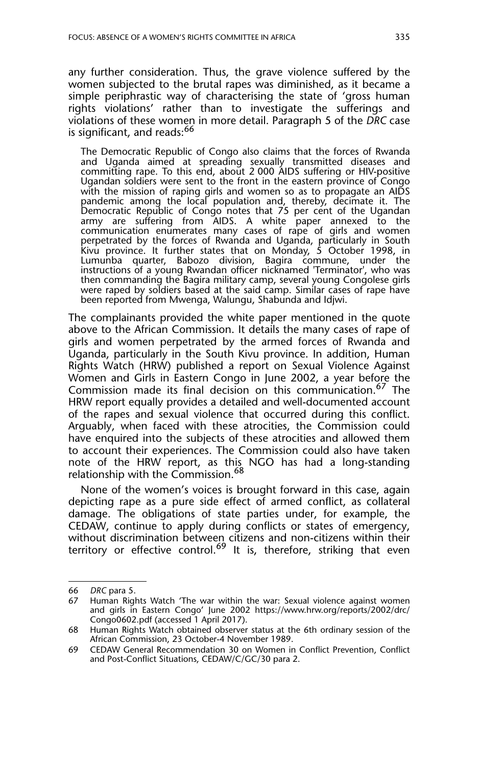any further consideration. Thus, the grave violence suffered by the women subjected to the brutal rapes was diminished, as it became a simple periphrastic way of characterising the state of 'gross human rights violations' rather than to investigate the sufferings and violations of these women in more detail. Paragraph 5 of the *DRC* case is significant, and reads:<sup>66</sup>

The Democratic Republic of Congo also claims that the forces of Rwanda and Uganda aimed at spreading sexually transmitted diseases and committing rape. To this end, about 2 000 AIDS suffering or HIV-positive Ugandan soldiers were sent to the front in the eastern province of Congo with the mission of raping girls and women so as to propagate an AIDS pandemic among the local population and, thereby, decimate it. The Democratic Republic of Congo notes that 75 per cent of the Ugandan army are suffering from AIDS. A white paper annexed to the communication enumerates many cases of rape of girls and women perpetrated by the forces of Rwanda and Uganda, particularly in South Kivu province. It further states that on Monday, 5 October 1998, in Lumunba quarter, Babozo division, Bagira commune, under the instructions of a young Rwandan officer nicknamed 'Terminator', who was then commanding the Bagira military camp, several young Congolese girls were raped by soldiers based at the said camp. Similar cases of rape have been reported from Mwenga, Walungu, Shabunda and Idjwi.

The complainants provided the white paper mentioned in the quote above to the African Commission. It details the many cases of rape of girls and women perpetrated by the armed forces of Rwanda and Uganda, particularly in the South Kivu province. In addition, Human Rights Watch (HRW) published a report on Sexual Violence Against Women and Girls in Eastern Congo in June 2002, a year before the Commission made its final decision on this communication.<sup>67</sup> The HRW report equally provides a detailed and well-documented account of the rapes and sexual violence that occurred during this conflict. Arguably, when faced with these atrocities, the Commission could have enquired into the subjects of these atrocities and allowed them to account their experiences. The Commission could also have taken note of the HRW report, as this NGO has had a long-standing relationship with the Commission.<sup>68</sup>

None of the women's voices is brought forward in this case, again depicting rape as a pure side effect of armed conflict, as collateral damage. The obligations of state parties under, for example, the CEDAW, continue to apply during conflicts or states of emergency, without discrimination between citizens and non-citizens within their territory or effective control.<sup>69</sup> It is, therefore, striking that even

<sup>66</sup> *DRC* para 5.

<sup>67</sup> Human Rights Watch 'The war within the war: Sexual violence against women and girls in Eastern Congo' June 2002 https://www.hrw.org/reports/2002/drc/ Congo0602.pdf (accessed 1 April 2017).

<sup>68</sup> Human Rights Watch obtained observer status at the 6th ordinary session of the African Commission, 23 October-4 November 1989.

<sup>69</sup> CEDAW General Recommendation 30 on Women in Conflict Prevention, Conflict and Post-Conflict Situations, CEDAW/C/GC/30 para 2.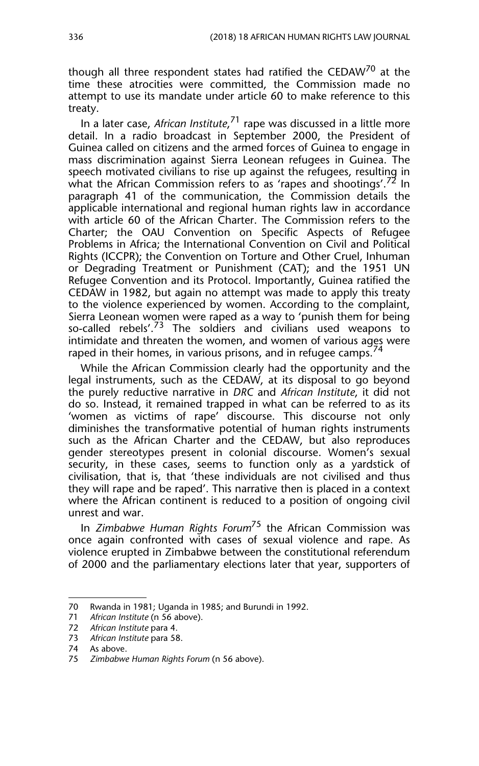though all three respondent states had ratified the CEDAW<sup>70</sup> at the time these atrocities were committed, the Commission made no attempt to use its mandate under article 60 to make reference to this treaty.

In a later case, *African Institute*, <sup>71</sup> rape was discussed in a little more detail. In a radio broadcast in September 2000, the President of Guinea called on citizens and the armed forces of Guinea to engage in mass discrimination against Sierra Leonean refugees in Guinea. The speech motivated civilians to rise up against the refugees, resulting in what the African Commission refers to as 'rapes and shootings'.<sup>72</sup> In paragraph 41 of the communication, the Commission details the applicable international and regional human rights law in accordance with article 60 of the African Charter. The Commission refers to the Charter; the OAU Convention on Specific Aspects of Refugee Problems in Africa; the International Convention on Civil and Political Rights (ICCPR); the Convention on Torture and Other Cruel, Inhuman or Degrading Treatment or Punishment (CAT); and the 1951 UN Refugee Convention and its Protocol. Importantly, Guinea ratified the CEDAW in 1982, but again no attempt was made to apply this treaty to the violence experienced by women. According to the complaint, Sierra Leonean women were raped as a way to 'punish them for being so-called rebels'. $73$  The soldiers and civilians used weapons to intimidate and threaten the women, and women of various ages were raped in their homes, in various prisons, and in refugee camps.

While the African Commission clearly had the opportunity and the legal instruments, such as the CEDAW, at its disposal to go beyond the purely reductive narrative in *DRC* and *African Institute*, it did not do so. Instead, it remained trapped in what can be referred to as its 'women as victims of rape' discourse. This discourse not only diminishes the transformative potential of human rights instruments such as the African Charter and the CEDAW, but also reproduces gender stereotypes present in colonial discourse. Women's sexual security, in these cases, seems to function only as a yardstick of civilisation, that is, that 'these individuals are not civilised and thus they will rape and be raped'. This narrative then is placed in a context where the African continent is reduced to a position of ongoing civil unrest and war.

In *Zimbabwe Human Rights Forum*75 the African Commission was once again confronted with cases of sexual violence and rape. As violence erupted in Zimbabwe between the constitutional referendum of 2000 and the parliamentary elections later that year, supporters of

<sup>70</sup> Rwanda in 1981; Uganda in 1985; and Burundi in 1992.

<sup>71</sup> *African Institute* (n 56 above).

<sup>72</sup> *African Institute* para 4.

<sup>73</sup> *African Institute* para 58.

<sup>74</sup> As above.

<sup>75</sup> *Zimbabwe Human Rights Forum* (n 56 above).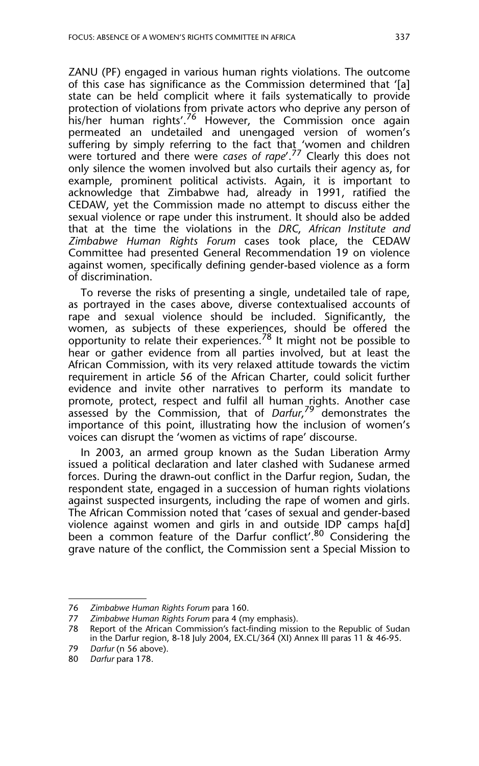ZANU (PF) engaged in various human rights violations. The outcome of this case has significance as the Commission determined that '[a] state can be held complicit where it fails systematically to provide protection of violations from private actors who deprive any person of his/her human rights'.76 However, the Commission once again permeated an undetailed and unengaged version of women's suffering by simply referring to the fact that\_'women and children were tortured and there were *cases of rape*'.77 Clearly this does not only silence the women involved but also curtails their agency as, for example, prominent political activists. Again, it is important to acknowledge that Zimbabwe had, already in 1991, ratified the CEDAW, yet the Commission made no attempt to discuss either the sexual violence or rape under this instrument. It should also be added that at the time the violations in the *DRC*, *African Institute and Zimbabwe Human Rights Forum* cases took place, the CEDAW Committee had presented General Recommendation 19 on violence against women, specifically defining gender-based violence as a form of discrimination.

To reverse the risks of presenting a single, undetailed tale of rape, as portrayed in the cases above, diverse contextualised accounts of rape and sexual violence should be included. Significantly, the women, as subjects of these experiences, should be offered the opportunity to relate their experiences.<sup>78</sup> It might not be possible to hear or gather evidence from all parties involved, but at least the African Commission, with its very relaxed attitude towards the victim requirement in article 56 of the African Charter, could solicit further evidence and invite other narratives to perform its mandate to promote, protect, respect and fulfil all human rights. Another case assessed by the Commission, that of *Darfur*, 79 demonstrates the importance of this point, illustrating how the inclusion of women's voices can disrupt the 'women as victims of rape' discourse.

In 2003, an armed group known as the Sudan Liberation Army issued a political declaration and later clashed with Sudanese armed forces. During the drawn-out conflict in the Darfur region, Sudan, the respondent state, engaged in a succession of human rights violations against suspected insurgents, including the rape of women and girls. The African Commission noted that 'cases of sexual and gender-based violence against women and girls in and outside IDP camps ha[d] been a common feature of the Darfur conflict'.<sup>80</sup> Considering the grave nature of the conflict, the Commission sent a Special Mission to

<sup>76</sup> *Zimbabwe Human Rights Forum* para 160.

Zimbabwe Human Rights Forum para 4 (my emphasis).

<sup>78</sup> Report of the African Commission's fact-finding mission to the Republic of Sudan in the Darfur region, 8-18 July 2004, EX.CL/364 (XI) Annex III paras 11 & 46-95.

<sup>79</sup> *Darfur* (n 56 above).

<sup>80</sup> *Darfur* para 178.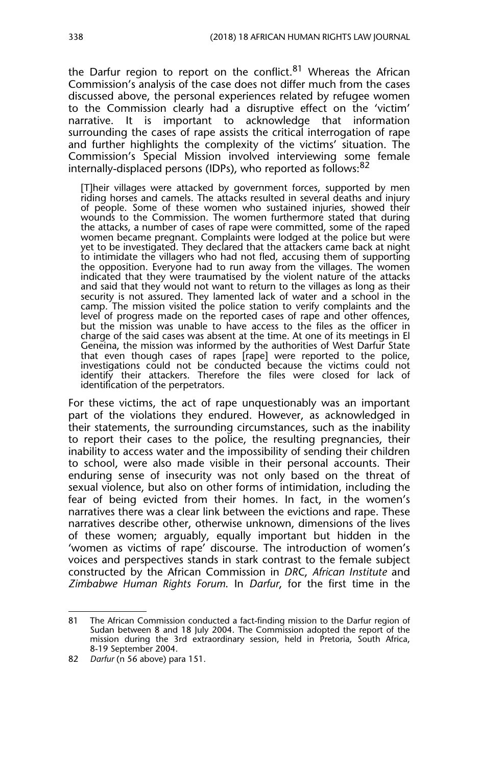the Darfur region to report on the conflict.<sup>81</sup> Whereas the African Commission's analysis of the case does not differ much from the cases discussed above, the personal experiences related by refugee women to the Commission clearly had a disruptive effect on the 'victim' narrative. It is important to acknowledge that information surrounding the cases of rape assists the critical interrogation of rape and further highlights the complexity of the victims' situation. The Commission's Special Mission involved interviewing some female internally-displaced persons (IDPs), who reported as follows:<sup>82</sup>

[T]heir villages were attacked by government forces, supported by men riding horses and camels. The attacks resulted in several deaths and injury of people. Some of these women who sustained injuries, showed their wounds to the Commission. The women furthermore stated that during the attacks, a number of cases of rape were committed, some of the raped women became pregnant. Complaints were lodged at the police but were yet to be investigated. They declared that the attackers came back at night to intimidate the villagers who had not fled, accusing them of supporting the opposition. Everyone had to run away from the villages. The women indicated that they were traumatised by the violent nature of the attacks and said that they would not want to return to the villages as long as their security is not assured. They lamented lack of water and a school in the camp. The mission visited the police station to verify complaints and the level of progress made on the reported cases of rape and other offences, but the mission was unable to have access to the files as the officer in charge of the said cases was absent at the time. At one of its meetings in El Geneina, the mission was informed by the authorities of West Darfur State that even though cases of rapes [rape] were reported to the police, investigations could not be conducted because the victims could not identify their attackers. Therefore the files were closed for lack of identification of the perpetrators.

For these victims, the act of rape unquestionably was an important part of the violations they endured. However, as acknowledged in their statements, the surrounding circumstances, such as the inability to report their cases to the police, the resulting pregnancies, their inability to access water and the impossibility of sending their children to school, were also made visible in their personal accounts. Their enduring sense of insecurity was not only based on the threat of sexual violence, but also on other forms of intimidation, including the fear of being evicted from their homes. In fact, in the women's narratives there was a clear link between the evictions and rape. These narratives describe other, otherwise unknown, dimensions of the lives of these women; arguably, equally important but hidden in the 'women as victims of rape' discourse. The introduction of women's voices and perspectives stands in stark contrast to the female subject constructed by the African Commission in *DRC*, *African Institute* and *Zimbabwe Human Rights Forum*. In *Darfur*, for the first time in the

<sup>81</sup> The African Commission conducted a fact-finding mission to the Darfur region of Sudan between 8 and 18 July 2004. The Commission adopted the report of the mission during the 3rd extraordinary session, held in Pretoria, South Africa, 8-19 September 2004.

<sup>82</sup> *Darfur* (n 56 above) para 151.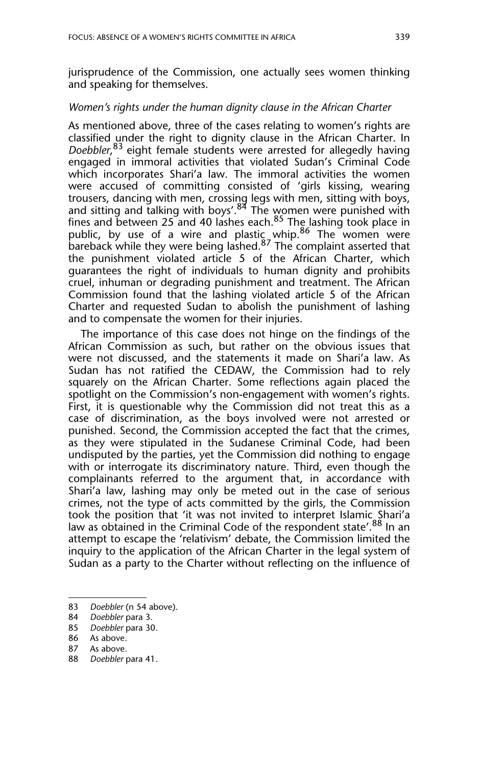jurisprudence of the Commission, one actually sees women thinking and speaking for themselves.

#### *Women's rights under the human dignity clause in the African Charter*

As mentioned above, three of the cases relating to women's rights are classified under the right to dignity clause in the African Charter. In *Doebbler*, <sup>83</sup> eight female students were arrested for allegedly having engaged in immoral activities that violated Sudan's Criminal Code which incorporates Shari'a law. The immoral activities the women were accused of committing consisted of 'girls kissing, wearing trousers, dancing with men, crossing legs with men, sitting with boys, and sitting and talking with boys'.<sup>84</sup> The women were punished with fines and between 25 and 40 lashes each.<sup>85</sup> The lashing took place in public, by use of a wire and plastic whip.<sup>86</sup> The women were bareback while they were being lashed.<sup>87</sup> The complaint asserted that the punishment violated article 5 of the African Charter, which guarantees the right of individuals to human dignity and prohibits cruel, inhuman or degrading punishment and treatment. The African Commission found that the lashing violated article 5 of the African Charter and requested Sudan to abolish the punishment of lashing and to compensate the women for their injuries.

The importance of this case does not hinge on the findings of the African Commission as such, but rather on the obvious issues that were not discussed, and the statements it made on Shari'a law. As Sudan has not ratified the CEDAW, the Commission had to rely squarely on the African Charter. Some reflections again placed the spotlight on the Commission's non-engagement with women's rights. First, it is questionable why the Commission did not treat this as a case of discrimination, as the boys involved were not arrested or punished. Second, the Commission accepted the fact that the crimes, as they were stipulated in the Sudanese Criminal Code, had been undisputed by the parties, yet the Commission did nothing to engage with or interrogate its discriminatory nature. Third, even though the complainants referred to the argument that, in accordance with Shari'a law, lashing may only be meted out in the case of serious crimes, not the type of acts committed by the girls, the Commission took the position that 'it was not invited to interpret Islamic Shari'a law as obtained in the Criminal Code of the respondent state'.<sup>88</sup> In an attempt to escape the 'relativism' debate, the Commission limited the inquiry to the application of the African Charter in the legal system of Sudan as a party to the Charter without reflecting on the influence of

<sup>83</sup> *Doebbler* (n 54 above).

<sup>84</sup> *Doebbler* para 3.

<sup>85</sup> *Doebbler* para 30.

<sup>86</sup> As above.

<sup>87</sup> As above.

<sup>88</sup> *Doebbler* para 41.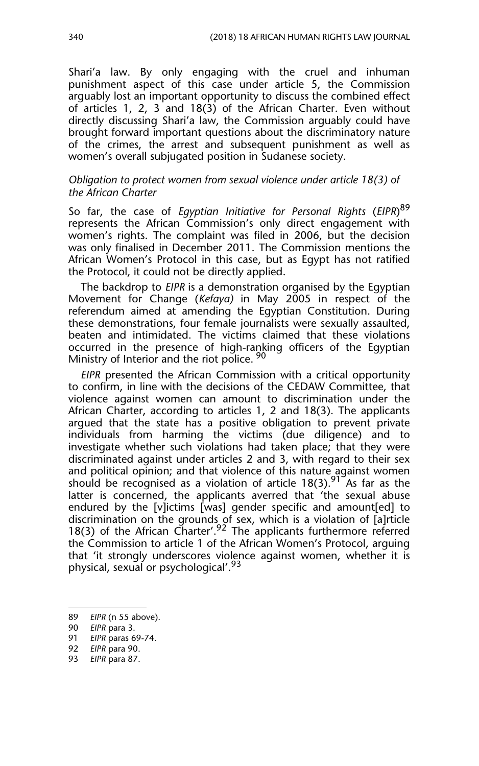Shari'a law. By only engaging with the cruel and inhuman punishment aspect of this case under article 5, the Commission arguably lost an important opportunity to discuss the combined effect of articles 1, 2, 3 and 18(3) of the African Charter. Even without directly discussing Shari'a law, the Commission arguably could have brought forward important questions about the discriminatory nature of the crimes, the arrest and subsequent punishment as well as women's overall subjugated position in Sudanese society.

#### *Obligation to protect women from sexual violence under article 18(3) of the African Charter*

So far, the case of *Egyptian Initiative for Personal Rights* (*EIPR*) 89 represents the African Commission's only direct engagement with women's rights. The complaint was filed in 2006, but the decision was only finalised in December 2011. The Commission mentions the African Women's Protocol in this case, but as Egypt has not ratified the Protocol, it could not be directly applied.

The backdrop to *EIPR* is a demonstration organised by the Egyptian Movement for Change (*Kefaya)* in May 2005 in respect of the referendum aimed at amending the Egyptian Constitution. During these demonstrations, four female journalists were sexually assaulted, beaten and intimidated. The victims claimed that these violations occurred in the presence of high-ranking officers of the Egyptian Ministry of Interior and the riot police. <sup>90</sup>

*EIPR* presented the African Commission with a critical opportunity to confirm, in line with the decisions of the CEDAW Committee, that violence against women can amount to discrimination under the African Charter, according to articles 1, 2 and 18(3). The applicants argued that the state has a positive obligation to prevent private individuals from harming the victims (due diligence) and to investigate whether such violations had taken place; that they were discriminated against under articles 2 and 3, with regard to their sex and political opinion; and that violence of this nature against women should be recognised as a violation of article  $18(3)$ . <sup>91</sup> As far as the latter is concerned, the applicants averred that 'the sexual abuse endured by the [v]ictims [was] gender specific and amount[ed] to discrimination on the grounds of sex, which is a violation of [a]rticle 18(3) of the African Charter'.<sup>92</sup> The applicants furthermore referred the Commission to article 1 of the African Women's Protocol, arguing that 'it strongly underscores violence against women, whether it is physical, sexual or psychological'.<sup>93</sup>

90 *EIPR* para 3. 91 *EIPR* paras 69-74.

<sup>89</sup> *EIPR* (n 55 above).

<sup>92</sup> *EIPR* para 90.

<sup>93</sup> *EIPR* para 87.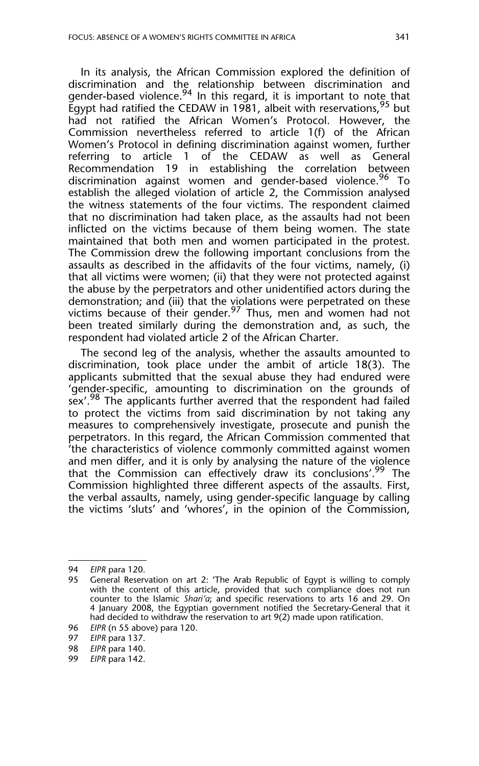In its analysis, the African Commission explored the definition of discrimination and the relationship between discrimination and gender-based violence.<sup>94</sup> In this regard, it is important to note that Egypt had ratified the CEDAW in 1981, albeit with reservations,  $95$  but had not ratified the African Women's Protocol. However, the Commission nevertheless referred to article 1(f) of the African Women's Protocol in defining discrimination against women, further referring to article 1 of the CEDAW as well as General Recommendation 19 in establishing the correlation between discrimination against women and gender-based violence.<sup>96</sup> To establish the alleged violation of article 2, the Commission analysed the witness statements of the four victims. The respondent claimed that no discrimination had taken place, as the assaults had not been inflicted on the victims because of them being women. The state maintained that both men and women participated in the protest. The Commission drew the following important conclusions from the assaults as described in the affidavits of the four victims, namely, (i) that all victims were women; (ii) that they were not protected against the abuse by the perpetrators and other unidentified actors during the demonstration; and (iii) that the violations were perpetrated on these victims because of their gender.<sup>97</sup> Thus, men and women had not been treated similarly during the demonstration and, as such, the respondent had violated article 2 of the African Charter.

The second leg of the analysis, whether the assaults amounted to discrimination, took place under the ambit of article 18(3). The applicants submitted that the sexual abuse they had endured were 'gender-specific, amounting to discrimination on the grounds of sex'.<sup>98</sup> The applicants further averred that the respondent had failed to protect the victims from said discrimination by not taking any measures to comprehensively investigate, prosecute and punish the perpetrators. In this regard, the African Commission commented that 'the characteristics of violence commonly committed against women and men differ, and it is only by analysing the nature of the violence that the Commission can effectively draw its conclusions'.<sup>99</sup> The Commission highlighted three different aspects of the assaults. First, the verbal assaults, namely, using gender-specific language by calling the victims 'sluts' and 'whores', in the opinion of the Commission,

<sup>94</sup> *EIPR* para 120.

<sup>95</sup> General Reservation on art 2: 'The Arab Republic of Egypt is willing to comply with the content of this article, provided that such compliance does not run counter to the Islamic *Shari'a*; and specific reservations to arts 16 and 29. On 4 January 2008, the Egyptian government notified the Secretary-General that it had decided to withdraw the reservation to art 9(2) made upon ratification.

<sup>96</sup> *EIPR* (n 55 above) para 120.

<sup>97</sup> *EIPR* para 137.

<sup>98</sup> *EIPR* para 140.

<sup>99</sup> *EIPR* para 142.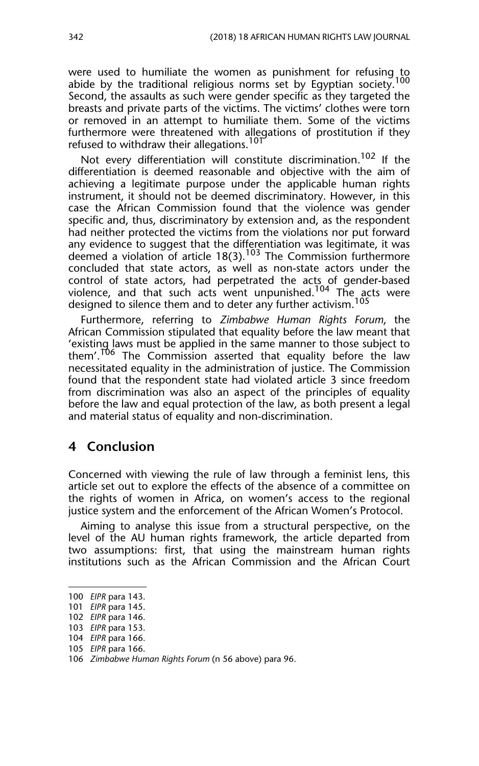were used to humiliate the women as punishment for refusing to abide by the traditional religious norms set by Egyptian society.<sup>100</sup> Second, the assaults as such were gender specific as they targeted the breasts and private parts of the victims. The victims' clothes were torn or removed in an attempt to humiliate them. Some of the victims furthermore were threatened with allegations of prostitution if they refused to withdraw their allegations.<sup>10T</sup>

Not every differentiation will constitute discrimination.<sup>102</sup> If the differentiation is deemed reasonable and objective with the aim of achieving a legitimate purpose under the applicable human rights instrument, it should not be deemed discriminatory. However, in this case the African Commission found that the violence was gender specific and, thus, discriminatory by extension and, as the respondent had neither protected the victims from the violations nor put forward any evidence to suggest that the differentiation was legitimate, it was deemed a violation of article  $18(3)$ .<sup>103</sup> The Commission furthermore concluded that state actors, as well as non-state actors under the control of state actors, had perpetrated the acts of gender-based violence, and that such acts went unpunished.<sup>104</sup> The acts were designed to silence them and to deter any further activism.<sup>105</sup>

Furthermore, referring to *Zimbabwe Human Rights Forum*, the African Commission stipulated that equality before the law meant that 'existing laws must be applied in the same manner to those subject to them'.<sup>T06</sup> The Commission asserted that equality before the law necessitated equality in the administration of justice. The Commission found that the respondent state had violated article 3 since freedom from discrimination was also an aspect of the principles of equality before the law and equal protection of the law, as both present a legal and material status of equality and non-discrimination.

#### **4 Conclusion**

Concerned with viewing the rule of law through a feminist lens, this article set out to explore the effects of the absence of a committee on the rights of women in Africa, on women's access to the regional justice system and the enforcement of the African Women's Protocol.

Aiming to analyse this issue from a structural perspective, on the level of the AU human rights framework, the article departed from two assumptions: first, that using the mainstream human rights institutions such as the African Commission and the African Court

<sup>100</sup> *EIPR* para 143.

<sup>101</sup> *EIPR* para 145.

<sup>102</sup> *EIPR* para 146.

<sup>103</sup> *EIPR* para 153.

<sup>104</sup> *EIPR* para 166.

<sup>105</sup> *EIPR* para 166.

<sup>106</sup> *Zimbabwe Human Rights Forum* (n 56 above) para 96.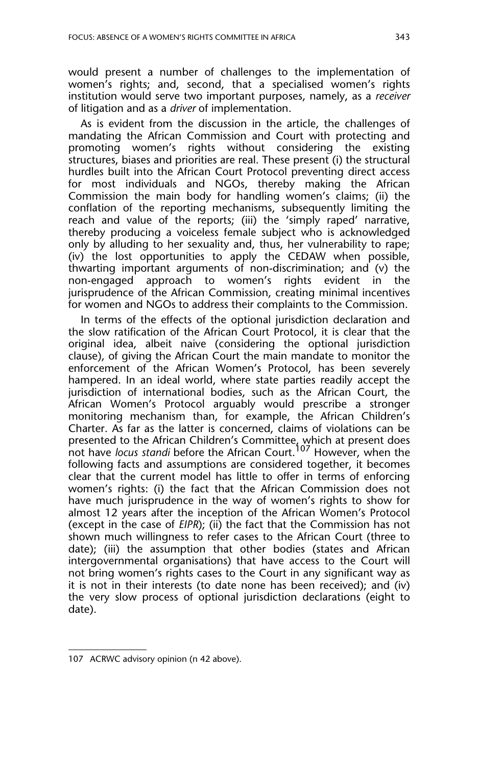would present a number of challenges to the implementation of women's rights; and, second, that a specialised women's rights institution would serve two important purposes, namely, as a *receiver* of litigation and as a *driver* of implementation.

As is evident from the discussion in the article, the challenges of mandating the African Commission and Court with protecting and promoting women's rights without considering the existing structures, biases and priorities are real. These present (i) the structural hurdles built into the African Court Protocol preventing direct access for most individuals and NGOs, thereby making the African Commission the main body for handling women's claims; (ii) the conflation of the reporting mechanisms, subsequently limiting the reach and value of the reports; (iii) the 'simply raped' narrative, thereby producing a voiceless female subject who is acknowledged only by alluding to her sexuality and, thus, her vulnerability to rape; (iv) the lost opportunities to apply the CEDAW when possible, thwarting important arguments of non-discrimination; and (v) the non-engaged approach to women's rights evident in the jurisprudence of the African Commission, creating minimal incentives for women and NGOs to address their complaints to the Commission.

In terms of the effects of the optional jurisdiction declaration and the slow ratification of the African Court Protocol, it is clear that the original idea, albeit naive (considering the optional jurisdiction clause), of giving the African Court the main mandate to monitor the enforcement of the African Women's Protocol, has been severely hampered. In an ideal world, where state parties readily accept the jurisdiction of international bodies, such as the African Court, the African Women's Protocol arguably would prescribe a stronger monitoring mechanism than, for example, the African Children's Charter. As far as the latter is concerned, claims of violations can be presented to the African Children's Committee, which at present does not have *locus standi* before the African Court.107 However, when the following facts and assumptions are considered together, it becomes clear that the current model has little to offer in terms of enforcing women's rights: (i) the fact that the African Commission does not have much jurisprudence in the way of women's rights to show for almost 12 years after the inception of the African Women's Protocol (except in the case of *EIPR*); (ii) the fact that the Commission has not shown much willingness to refer cases to the African Court (three to date); (iii) the assumption that other bodies (states and African intergovernmental organisations) that have access to the Court will not bring women's rights cases to the Court in any significant way as it is not in their interests (to date none has been received); and (iv) the very slow process of optional jurisdiction declarations (eight to date).

<sup>107</sup> ACRWC advisory opinion (n 42 above).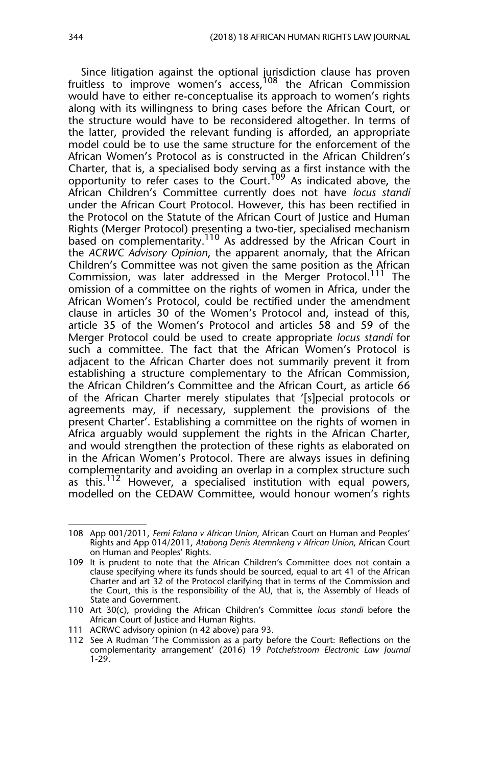Since litigation against the optional jurisdiction clause has proven fruitless to improve women's access.<sup>108</sup> the African Commission would have to either re-conceptualise its approach to women's rights along with its willingness to bring cases before the African Court, or the structure would have to be reconsidered altogether. In terms of the latter, provided the relevant funding is afforded, an appropriate model could be to use the same structure for the enforcement of the African Women's Protocol as is constructed in the African Children's Charter, that is, a specialised body serving as a first instance with the opportunity to refer cases to the Court.<sup>T09</sup> As indicated above, the African Children's Committee currently does not have *locus standi* under the African Court Protocol. However, this has been rectified in the Protocol on the Statute of the African Court of Justice and Human Rights (Merger Protocol) presenting a two-tier, specialised mechanism based on complementarity.<sup>110</sup> As addressed by the African Court in the *ACRWC Advisory Opinion*, the apparent anomaly, that the African Children's Committee was not given the same position as the African Commission, was later addressed in the Merger Protocol.111 The omission of a committee on the rights of women in Africa, under the African Women's Protocol, could be rectified under the amendment clause in articles 30 of the Women's Protocol and, instead of this, article 35 of the Women's Protocol and articles 58 and 59 of the Merger Protocol could be used to create appropriate *locus standi* for such a committee. The fact that the African Women's Protocol is adjacent to the African Charter does not summarily prevent it from establishing a structure complementary to the African Commission, the African Children's Committee and the African Court, as article 66 of the African Charter merely stipulates that '[s]pecial protocols or agreements may, if necessary, supplement the provisions of the present Charter'. Establishing a committee on the rights of women in Africa arguably would supplement the rights in the African Charter, and would strengthen the protection of these rights as elaborated on in the African Women's Protocol. There are always issues in defining complementarity and avoiding an overlap in a complex structure such as this.<sup>112</sup> However, a specialised institution with equal powers, modelled on the CEDAW Committee, would honour women's rights

<sup>108</sup> App 001/2011, *Femi Falana v African Union*, African Court on Human and Peoples' Rights and App 014/2011, *Atabong Denis Atemnkeng v African Union*, African Court on Human and Peoples' Rights.

<sup>109</sup> It is prudent to note that the African Children's Committee does not contain a clause specifying where its funds should be sourced, equal to art 41 of the African Charter and art 32 of the Protocol clarifying that in terms of the Commission and the Court, this is the responsibility of the AU, that is, the Assembly of Heads of State and Government.

<sup>110</sup> Art 30(c), providing the African Children's Committee *locus standi* before the African Court of Justice and Human Rights.

<sup>111</sup> ACRWC advisory opinion (n 42 above) para 93.

<sup>112</sup> See A Rudman 'The Commission as a party before the Court: Reflections on the complementarity arrangement' (2016) 19 *Potchefstroom Electronic Law Journal* 1-29.